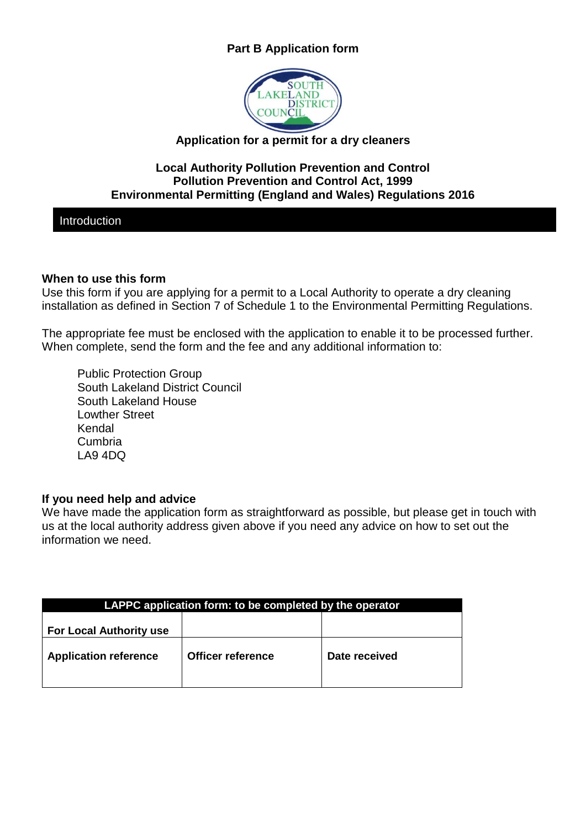# **Part B Application form**



# **Application for a permit for a dry cleaners**

## **Local Authority Pollution Prevention and Control Pollution Prevention and Control Act, 1999 Environmental Permitting (England and Wales) Regulations 2016**

Introduction

## **When to use this form**

Use this form if you are applying for a permit to a Local Authority to operate a dry cleaning installation as defined in Section 7 of Schedule 1 to the Environmental Permitting Regulations.

The appropriate fee must be enclosed with the application to enable it to be processed further. When complete, send the form and the fee and any additional information to:

Public Protection Group South Lakeland District Council South Lakeland House Lowther Street Kendal Cumbria LA9 4DQ

### **If you need help and advice**

We have made the application form as straightforward as possible, but please get in touch with us at the local authority address given above if you need any advice on how to set out the information we need.

| LAPPC application form: to be completed by the operator |                          |               |  |  |
|---------------------------------------------------------|--------------------------|---------------|--|--|
| <b>For Local Authority use</b>                          |                          |               |  |  |
| <b>Application reference</b>                            | <b>Officer reference</b> | Date received |  |  |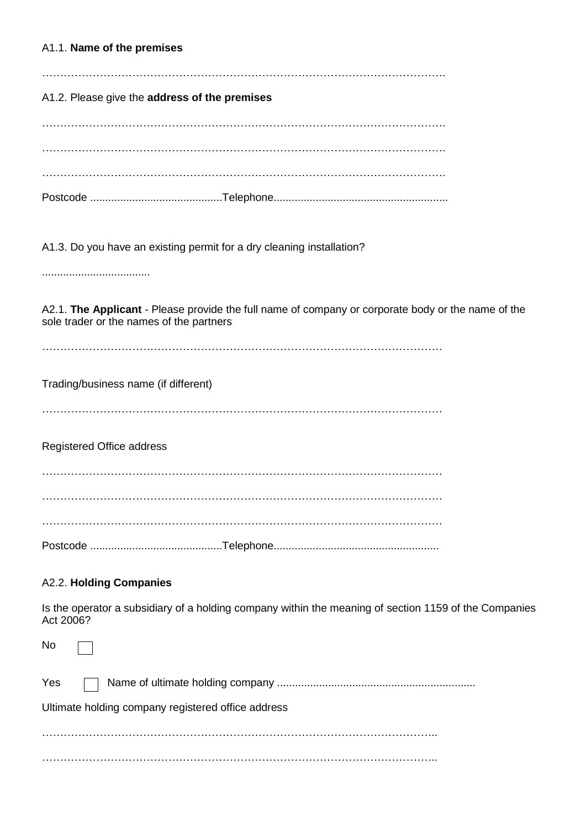A1.1. **Name of the premises** …………………………………………………………………………………………………. A1.2. Please give the **address of the premises** …………………………………………………………………………………………………. …………………………………………………………………………………………………. …………………………………………………………………………………………………. Postcode ............................................Telephone.......................................................... A1.3. Do you have an existing permit for a dry cleaning installation? .................................... A2.1. **The Applicant** - Please provide the full name of company or corporate body or the name of the sole trader or the names of the partners ………………………………………………………………………………………………… Trading/business name (if different) ………………………………………………………………………………………………… Registered Office address …………………………………………………………………………………………………

…………………………………………………………………………………………………

…………………………………………………………………………………………………

Postcode ............................................Telephone.......................................................

### A2.2. **Holding Companies**

Is the operator a subsidiary of a holding company within the meaning of section 1159 of the Companies Act 2006?

No Yes Name of ultimate holding company .................................................................. Ultimate holding company registered office address ……………………………………………………………………………………………….. ………………………………………………………………………………………………..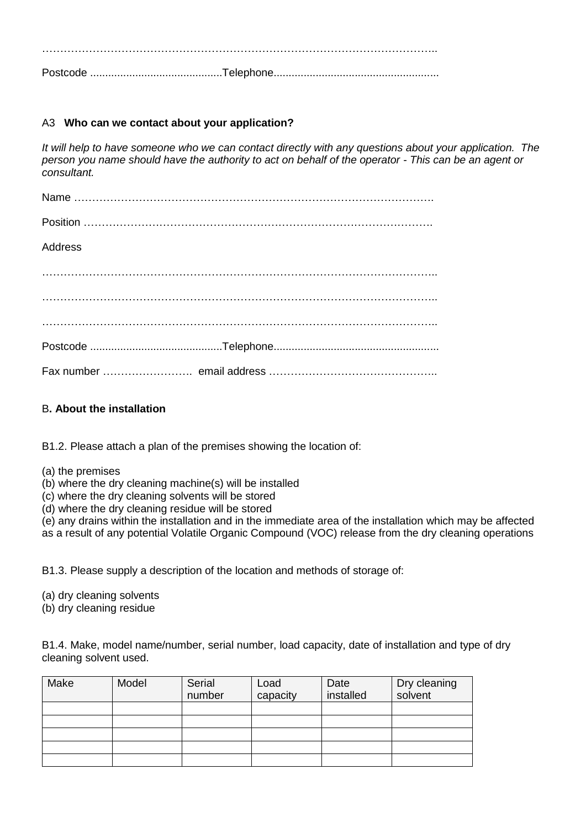……………………………………………………………………………………………….. Postcode ............................................Telephone.......................................................

#### A3 **Who can we contact about your application?**

*It will help to have someone who we can contact directly with any questions about your application. The person you name should have the authority to act on behalf of the operator - This can be an agent or consultant.*

| Address |  |
|---------|--|
|         |  |
|         |  |
|         |  |
|         |  |
|         |  |

#### B**. About the installation**

B1.2. Please attach a plan of the premises showing the location of:

- (a) the premises
- (b) where the dry cleaning machine(s) will be installed
- (c) where the dry cleaning solvents will be stored
- (d) where the dry cleaning residue will be stored

(e) any drains within the installation and in the immediate area of the installation which may be affected as a result of any potential Volatile Organic Compound (VOC) release from the dry cleaning operations

B1.3. Please supply a description of the location and methods of storage of:

(a) dry cleaning solvents

(b) dry cleaning residue

B1.4. Make, model name/number, serial number, load capacity, date of installation and type of dry cleaning solvent used.

| Make | Model | Serial | Load     | Date      | Dry cleaning |
|------|-------|--------|----------|-----------|--------------|
|      |       | number | capacity | installed | solvent      |
|      |       |        |          |           |              |
|      |       |        |          |           |              |
|      |       |        |          |           |              |
|      |       |        |          |           |              |
|      |       |        |          |           |              |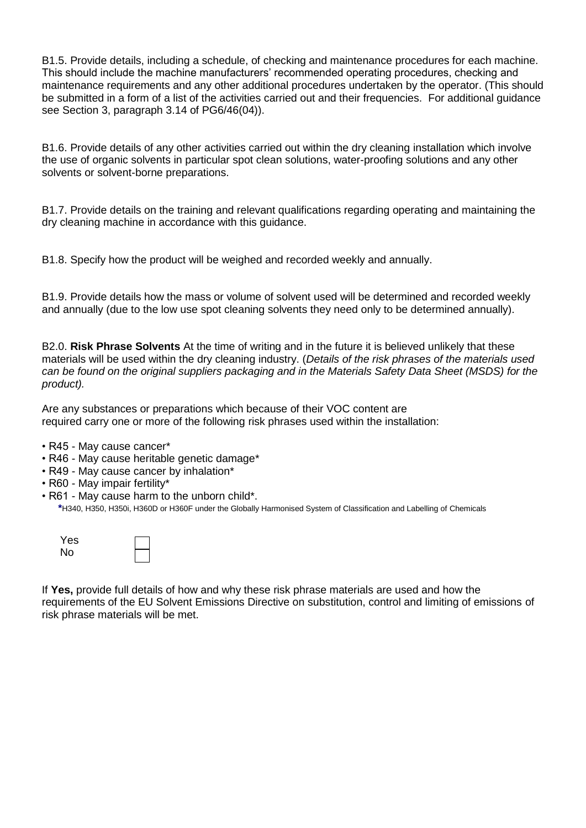B1.5. Provide details, including a schedule, of checking and maintenance procedures for each machine. This should include the machine manufacturers' recommended operating procedures, checking and maintenance requirements and any other additional procedures undertaken by the operator. (This should be submitted in a form of a list of the activities carried out and their frequencies. For additional guidance see Section 3, paragraph 3.14 of PG6/46(04)).

B1.6. Provide details of any other activities carried out within the dry cleaning installation which involve the use of organic solvents in particular spot clean solutions, water-proofing solutions and any other solvents or solvent-borne preparations.

B1.7. Provide details on the training and relevant qualifications regarding operating and maintaining the dry cleaning machine in accordance with this guidance.

B1.8. Specify how the product will be weighed and recorded weekly and annually.

B1.9. Provide details how the mass or volume of solvent used will be determined and recorded weekly and annually (due to the low use spot cleaning solvents they need only to be determined annually).

B2.0. **Risk Phrase Solvents** At the time of writing and in the future it is believed unlikely that these materials will be used within the dry cleaning industry. (*Details of the risk phrases of the materials used can be found on the original suppliers packaging and in the Materials Safety Data Sheet (MSDS) for the product).*

Are any substances or preparations which because of their VOC content are required carry one or more of the following risk phrases used within the installation:

- R45 May cause cancer\*
- R46 May cause heritable genetic damage\*
- R49 May cause cancer by inhalation\*
- R60 May impair fertility\*
- R61 May cause harm to the unborn child\*.  **\***H340, H350, H350i, H360D or H360F under the Globally Harmonised System of Classification and Labelling of Chemicals

| Yes |  |
|-----|--|
| No  |  |

If **Yes,** provide full details of how and why these risk phrase materials are used and how the requirements of the EU Solvent Emissions Directive on substitution, control and limiting of emissions of risk phrase materials will be met.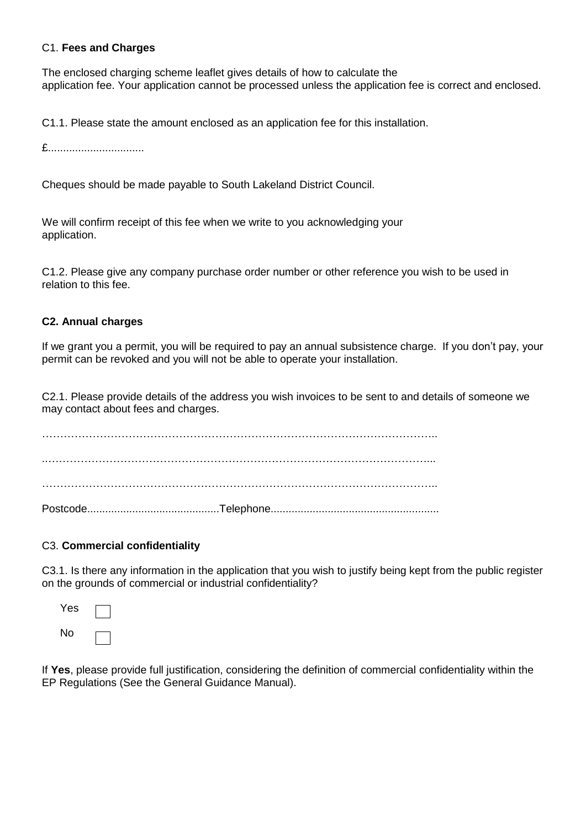#### C1. **Fees and Charges**

The enclosed charging scheme leaflet gives details of how to calculate the application fee. Your application cannot be processed unless the application fee is correct and enclosed.

C1.1. Please state the amount enclosed as an application fee for this installation.

£................................

Cheques should be made payable to South Lakeland District Council.

We will confirm receipt of this fee when we write to you acknowledging your application.

C1.2. Please give any company purchase order number or other reference you wish to be used in relation to this fee.

#### **C2. Annual charges**

If we grant you a permit, you will be required to pay an annual subsistence charge. If you don't pay, your permit can be revoked and you will not be able to operate your installation.

C2.1. Please provide details of the address you wish invoices to be sent to and details of someone we may contact about fees and charges.

……………………………………………………………………………………………….. ..……………………………………………………………………………………………... ……………………………………………………………………………………………….. Postcode............................................Telephone........................................................

#### C3. **Commercial confidentiality**

C3.1. Is there any information in the application that you wish to justify being kept from the public register on the grounds of commercial or industrial confidentiality?



If **Yes**, please provide full justification, considering the definition of commercial confidentiality within the EP Regulations (See the General Guidance Manual).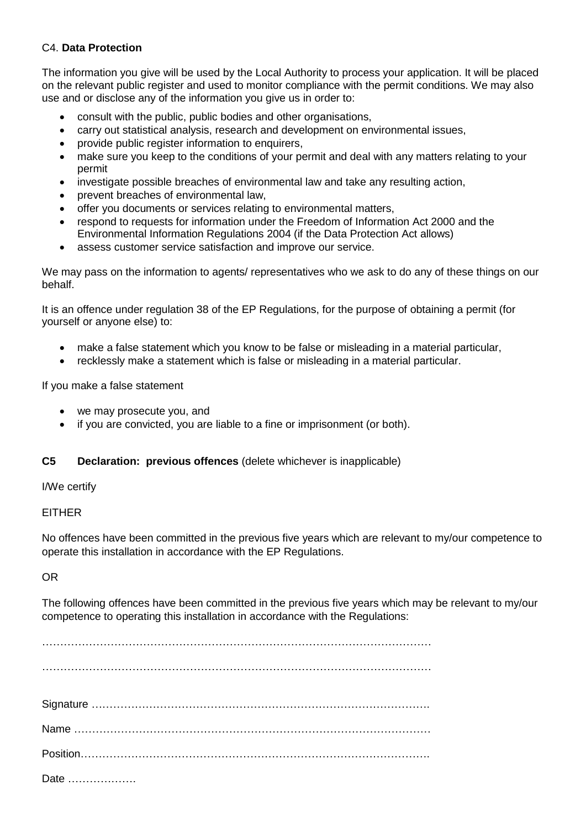#### C4. **Data Protection**

The information you give will be used by the Local Authority to process your application. It will be placed on the relevant public register and used to monitor compliance with the permit conditions. We may also use and or disclose any of the information you give us in order to:

- consult with the public, public bodies and other organisations,
- carry out statistical analysis, research and development on environmental issues,
- provide public register information to enquirers,
- make sure you keep to the conditions of your permit and deal with any matters relating to your permit
- investigate possible breaches of environmental law and take any resulting action,
- prevent breaches of environmental law,
- offer you documents or services relating to environmental matters,
- respond to requests for information under the Freedom of Information Act 2000 and the Environmental Information Regulations 2004 (if the Data Protection Act allows)
- assess customer service satisfaction and improve our service.

We may pass on the information to agents/ representatives who we ask to do any of these things on our behalf.

It is an offence under regulation 38 of the EP Regulations, for the purpose of obtaining a permit (for yourself or anyone else) to:

- make a false statement which you know to be false or misleading in a material particular,
- recklessly make a statement which is false or misleading in a material particular.

If you make a false statement

- we may prosecute you, and
- if you are convicted, you are liable to a fine or imprisonment (or both).

#### **C5 Declaration: previous offences** (delete whichever is inapplicable)

I/We certify

#### EITHER

No offences have been committed in the previous five years which are relevant to my/our competence to operate this installation in accordance with the EP Regulations.

OR

The following offences have been committed in the previous five years which may be relevant to my/our competence to operating this installation in accordance with the Regulations:

……………………………………………………………………………………………… ……………………………………………………………………………………………… Signature …………………………………………………………………………………. Name ……………………………………………………………………………………… Position……………………………………………………………………………………. Date ……………….